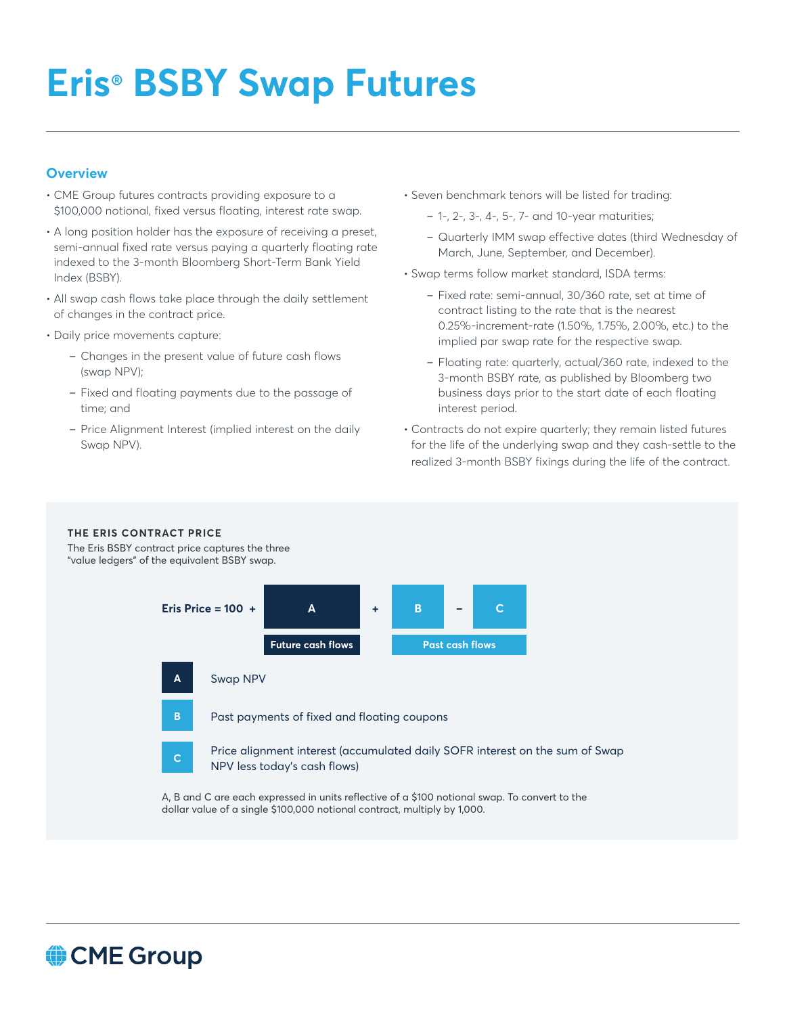# **Eris® BSBY Swap Futures**

## **Overview**

- CME Group futures contracts providing exposure to a \$100,000 notional, fixed versus floating, interest rate swap.
- A long position holder has the exposure of receiving a preset, semi-annual fixed rate versus paying a quarterly floating rate indexed to the 3-month Bloomberg Short-Term Bank Yield Index (BSBY).
- All swap cash flows take place through the daily settlement of changes in the contract price.
- Daily price movements capture:
	- Changes in the present value of future cash flows (swap NPV);
	- Fixed and floating payments due to the passage of time; and
	- Price Alignment Interest (implied interest on the daily Swap NPV).
- Seven benchmark tenors will be listed for trading:
	- 1-, 2-, 3-, 4-, 5-, 7- and 10-year maturities;
	- Quarterly IMM swap effective dates (third Wednesday of March, June, September, and December).
- Swap terms follow market standard, ISDA terms:
	- Fixed rate: semi-annual, 30/360 rate, set at time of contract listing to the rate that is the nearest 0.25%-increment-rate (1.50%, 1.75%, 2.00%, etc.) to the implied par swap rate for the respective swap.
	- Floating rate: quarterly, actual/360 rate, indexed to the 3-month BSBY rate, as published by Bloomberg two business days prior to the start date of each floating interest period.
- Contracts do not expire quarterly; they remain listed futures for the life of the underlying swap and they cash-settle to the realized 3-month BSBY fixings during the life of the contract.

#### **THE ERIS CONTRACT PRICE**

The Eris BSBY contract price captures the three "value ledgers" of the equivalent BSBY swap.



A, B and C are each expressed in units reflective of a \$100 notional swap. To convert to the dollar value of a single \$100,000 notional contract, multiply by 1,000.

# CME Group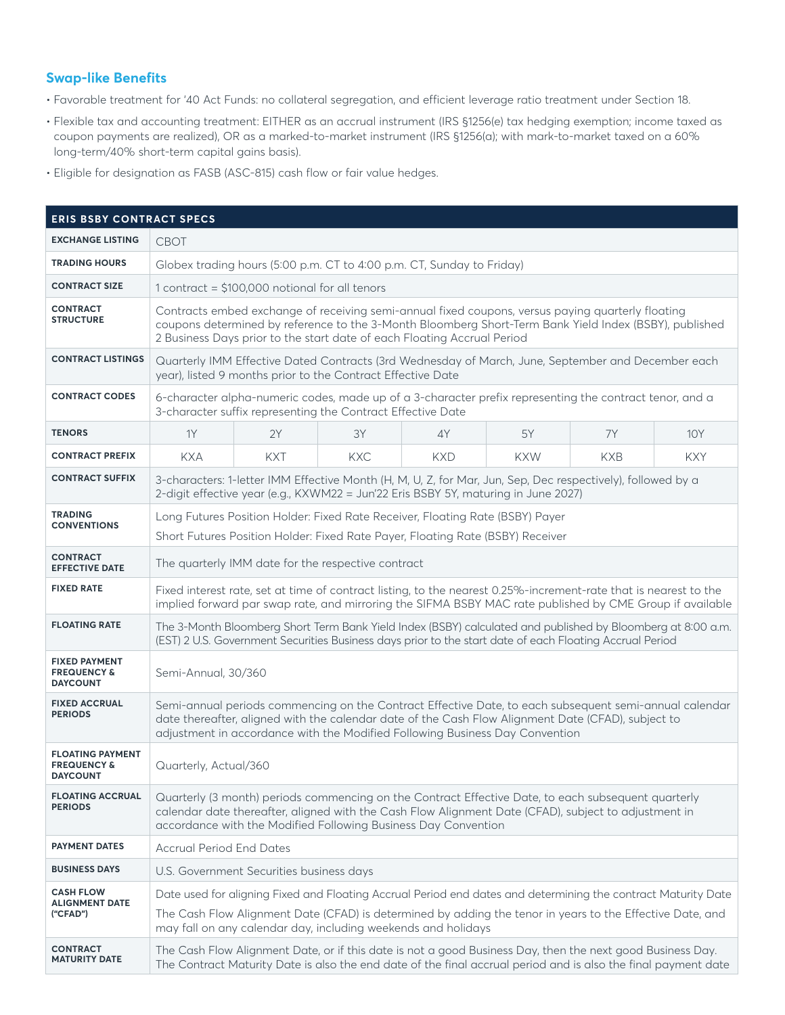#### **Swap-like Benefits**

- Favorable treatment for '40 Act Funds: no collateral segregation, and efficient leverage ratio treatment under Section 18.
- Flexible tax and accounting treatment: EITHER as an accrual instrument (IRS §1256(e) tax hedging exemption; income taxed as coupon payments are realized), OR as a marked-to-market instrument (IRS §1256(a); with mark-to-market taxed on a 60% long-term/40% short-term capital gains basis).
- Eligible for designation as FASB (ASC-815) cash flow or fair value hedges.

| <b>ERIS BSBY CONTRACT SPECS</b>                                      |                                                                                                                                                                                                                                                                                              |                                          |            |            |            |            |            |  |  |  |  |
|----------------------------------------------------------------------|----------------------------------------------------------------------------------------------------------------------------------------------------------------------------------------------------------------------------------------------------------------------------------------------|------------------------------------------|------------|------------|------------|------------|------------|--|--|--|--|
| <b>EXCHANGE LISTING</b>                                              | <b>CBOT</b>                                                                                                                                                                                                                                                                                  |                                          |            |            |            |            |            |  |  |  |  |
| <b>TRADING HOURS</b>                                                 | Globex trading hours (5:00 p.m. CT to 4:00 p.m. CT, Sunday to Friday)                                                                                                                                                                                                                        |                                          |            |            |            |            |            |  |  |  |  |
| <b>CONTRACT SIZE</b>                                                 | 1 contract = $$100,000$ notional for all tenors                                                                                                                                                                                                                                              |                                          |            |            |            |            |            |  |  |  |  |
| <b>CONTRACT</b><br><b>STRUCTURE</b>                                  | Contracts embed exchange of receiving semi-annual fixed coupons, versus paying quarterly floating<br>coupons determined by reference to the 3-Month Bloomberg Short-Term Bank Yield Index (BSBY), published<br>2 Business Days prior to the start date of each Floating Accrual Period       |                                          |            |            |            |            |            |  |  |  |  |
| <b>CONTRACT LISTINGS</b>                                             | Quarterly IMM Effective Dated Contracts (3rd Wednesday of March, June, September and December each<br>year), listed 9 months prior to the Contract Effective Date                                                                                                                            |                                          |            |            |            |            |            |  |  |  |  |
| <b>CONTRACT CODES</b>                                                | 6-character alpha-numeric codes, made up of a 3-character prefix representing the contract tenor, and a<br>3-character suffix representing the Contract Effective Date                                                                                                                       |                                          |            |            |            |            |            |  |  |  |  |
| <b>TENORS</b>                                                        | 1Y                                                                                                                                                                                                                                                                                           | 2Y                                       | 3Y         | 4Y         | 5Y         | <b>7Y</b>  | <b>10Y</b> |  |  |  |  |
| <b>CONTRACT PREFIX</b>                                               | <b>KXA</b>                                                                                                                                                                                                                                                                                   | <b>KXT</b>                               | <b>KXC</b> | <b>KXD</b> | <b>KXW</b> | <b>KXB</b> | <b>KXY</b> |  |  |  |  |
| <b>CONTRACT SUFFIX</b>                                               | 3-characters: 1-letter IMM Effective Month (H, M, U, Z, for Mar, Jun, Sep, Dec respectively), followed by a<br>2-digit effective year (e.g., KXWM22 = Jun'22 Eris BSBY 5Y, maturing in June 2027)                                                                                            |                                          |            |            |            |            |            |  |  |  |  |
| <b>TRADING</b><br><b>CONVENTIONS</b>                                 | Long Futures Position Holder: Fixed Rate Receiver, Floating Rate (BSBY) Payer<br>Short Futures Position Holder: Fixed Rate Payer, Floating Rate (BSBY) Receiver                                                                                                                              |                                          |            |            |            |            |            |  |  |  |  |
| <b>CONTRACT</b><br><b>EFFECTIVE DATE</b>                             | The quarterly IMM date for the respective contract                                                                                                                                                                                                                                           |                                          |            |            |            |            |            |  |  |  |  |
| <b>FIXED RATE</b>                                                    | Fixed interest rate, set at time of contract listing, to the nearest 0.25%-increment-rate that is nearest to the<br>implied forward par swap rate, and mirroring the SIFMA BSBY MAC rate published by CME Group if available                                                                 |                                          |            |            |            |            |            |  |  |  |  |
| <b>FLOATING RATE</b>                                                 | The 3-Month Bloomberg Short Term Bank Yield Index (BSBY) calculated and published by Bloomberg at 8:00 a.m.<br>(EST) 2 U.S. Government Securities Business days prior to the start date of each Floating Accrual Period                                                                      |                                          |            |            |            |            |            |  |  |  |  |
| <b>FIXED PAYMENT</b><br><b>FREQUENCY &amp;</b><br><b>DAYCOUNT</b>    | Semi-Annual, 30/360                                                                                                                                                                                                                                                                          |                                          |            |            |            |            |            |  |  |  |  |
| <b>FIXED ACCRUAL</b><br><b>PERIODS</b>                               | Semi-annual periods commencing on the Contract Effective Date, to each subsequent semi-annual calendar<br>date thereafter, aligned with the calendar date of the Cash Flow Alignment Date (CFAD), subject to<br>adjustment in accordance with the Modified Following Business Day Convention |                                          |            |            |            |            |            |  |  |  |  |
| <b>FLOATING PAYMENT</b><br><b>FREQUENCY &amp;</b><br><b>DAYCOUNT</b> | Quarterly, Actual/360                                                                                                                                                                                                                                                                        |                                          |            |            |            |            |            |  |  |  |  |
| <b>FLOATING ACCRUAL</b><br><b>PERIODS</b>                            | Quarterly (3 month) periods commencing on the Contract Effective Date, to each subsequent quarterly<br>calendar date thereafter, aligned with the Cash Flow Alignment Date (CFAD), subject to adjustment in<br>accordance with the Modified Following Business Day Convention                |                                          |            |            |            |            |            |  |  |  |  |
| <b>PAYMENT DATES</b>                                                 | <b>Accrual Period End Dates</b>                                                                                                                                                                                                                                                              |                                          |            |            |            |            |            |  |  |  |  |
| <b>BUSINESS DAYS</b>                                                 |                                                                                                                                                                                                                                                                                              | U.S. Government Securities business days |            |            |            |            |            |  |  |  |  |
| <b>CASH FLOW</b><br><b>ALIGNMENT DATE</b>                            | Date used for aligning Fixed and Floating Accrual Period end dates and determining the contract Maturity Date                                                                                                                                                                                |                                          |            |            |            |            |            |  |  |  |  |
| ("CFAD")                                                             | The Cash Flow Alignment Date (CFAD) is determined by adding the tenor in years to the Effective Date, and<br>may fall on any calendar day, including weekends and holidays                                                                                                                   |                                          |            |            |            |            |            |  |  |  |  |
| <b>CONTRACT</b><br><b>MATURITY DATE</b>                              | The Cash Flow Alignment Date, or if this date is not a good Business Day, then the next good Business Day.<br>The Contract Maturity Date is also the end date of the final accrual period and is also the final payment date                                                                 |                                          |            |            |            |            |            |  |  |  |  |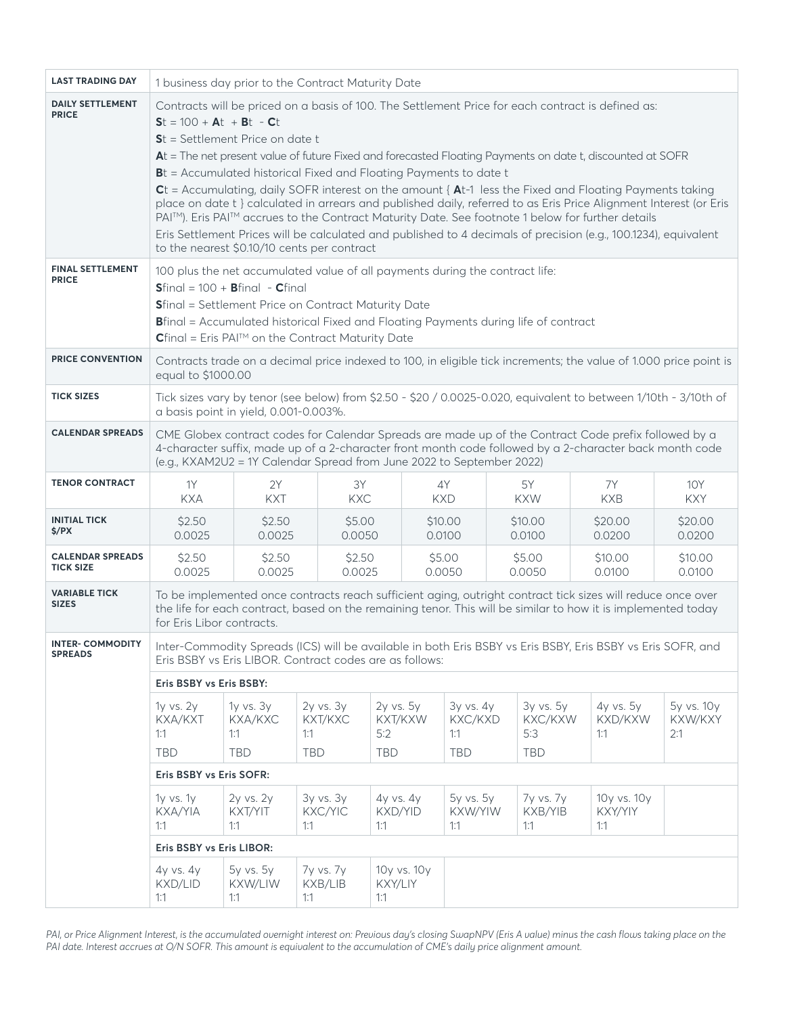| <b>LAST TRADING DAY</b>                     | 1 business day prior to the Contract Maturity Date                                                                                                                                                                                                                                                                                                                                                                                                                                                                                                                                                                                                                                                                                                                                                                                                               |                                           |                                               |                                           |                                           |                                           |                               |                              |  |  |  |  |
|---------------------------------------------|------------------------------------------------------------------------------------------------------------------------------------------------------------------------------------------------------------------------------------------------------------------------------------------------------------------------------------------------------------------------------------------------------------------------------------------------------------------------------------------------------------------------------------------------------------------------------------------------------------------------------------------------------------------------------------------------------------------------------------------------------------------------------------------------------------------------------------------------------------------|-------------------------------------------|-----------------------------------------------|-------------------------------------------|-------------------------------------------|-------------------------------------------|-------------------------------|------------------------------|--|--|--|--|
| <b>DAILY SETTLEMENT</b><br><b>PRICE</b>     | Contracts will be priced on a basis of 100. The Settlement Price for each contract is defined as:<br>$St = 100 + At + Bt - Ct$<br>$St = Settlement Price on date t$<br>At = The net present value of future Fixed and forecasted Floating Payments on date t, discounted at SOFR<br>Bt = Accumulated historical Fixed and Floating Payments to date t<br>$Ct$ = Accumulating, daily SOFR interest on the amount { $At-1$ less the Fixed and Floating Payments taking<br>place on date t } calculated in arrears and published daily, referred to as Eris Price Alignment Interest (or Eris<br>PAI™). Eris PAI™ accrues to the Contract Maturity Date. See footnote 1 below for further details<br>Eris Settlement Prices will be calculated and published to 4 decimals of precision (e.g., 100.1234), equivalent<br>to the nearest \$0.10/10 cents per contract |                                           |                                               |                                           |                                           |                                           |                               |                              |  |  |  |  |
| <b>FINAL SETTLEMENT</b><br><b>PRICE</b>     | 100 plus the net accumulated value of all payments during the contract life:<br>$Sfinal = 100 + Bfinal - Cfinal$<br>Sfinal = Settlement Price on Contract Maturity Date<br><b>B</b> final = Accumulated historical Fixed and Floating Payments during life of contract<br>$C$ final = Eris PAI <sup>™</sup> on the Contract Maturity Date                                                                                                                                                                                                                                                                                                                                                                                                                                                                                                                        |                                           |                                               |                                           |                                           |                                           |                               |                              |  |  |  |  |
| <b>PRICE CONVENTION</b>                     | Contracts trade on a decimal price indexed to 100, in eligible tick increments; the value of 1.000 price point is<br>equal to \$1000.00                                                                                                                                                                                                                                                                                                                                                                                                                                                                                                                                                                                                                                                                                                                          |                                           |                                               |                                           |                                           |                                           |                               |                              |  |  |  |  |
| <b>TICK SIZES</b>                           | Tick sizes vary by tenor (see below) from \$2.50 - \$20 / 0.0025-0.020, equivalent to between 1/10th - 3/10th of<br>a basis point in yield, 0.001-0.003%.                                                                                                                                                                                                                                                                                                                                                                                                                                                                                                                                                                                                                                                                                                        |                                           |                                               |                                           |                                           |                                           |                               |                              |  |  |  |  |
| <b>CALENDAR SPREADS</b>                     | CME Globex contract codes for Calendar Spreads are made up of the Contract Code prefix followed by a<br>4-character suffix, made up of a 2-character front month code followed by a 2-character back month code<br>(e.g., KXAM2U2 = 1Y Calendar Spread from June 2022 to September 2022)                                                                                                                                                                                                                                                                                                                                                                                                                                                                                                                                                                         |                                           |                                               |                                           |                                           |                                           |                               |                              |  |  |  |  |
| <b>TENOR CONTRACT</b>                       | 1Y<br><b>KXA</b>                                                                                                                                                                                                                                                                                                                                                                                                                                                                                                                                                                                                                                                                                                                                                                                                                                                 | 2Y<br><b>KXT</b>                          | 3Y<br><b>KXC</b>                              |                                           | 4Y<br><b>KXD</b>                          | 5Y<br><b>KXW</b>                          | 7Y<br><b>KXB</b>              | <b>10Y</b><br><b>KXY</b>     |  |  |  |  |
| <b>INITIAL TICK</b><br>\$/PX                | \$2.50<br>0.0025                                                                                                                                                                                                                                                                                                                                                                                                                                                                                                                                                                                                                                                                                                                                                                                                                                                 | \$2.50<br>0.0025                          | \$5.00<br>0.0050                              |                                           | \$10.00<br>0.0100                         | \$10.00<br>0.0100                         | \$20.00<br>0.0200             | \$20.00<br>0.0200            |  |  |  |  |
| <b>CALENDAR SPREADS</b><br><b>TICK SIZE</b> | \$2.50<br>0.0025                                                                                                                                                                                                                                                                                                                                                                                                                                                                                                                                                                                                                                                                                                                                                                                                                                                 | \$2.50<br>0.0025                          | \$2.50<br>0.0025                              |                                           | \$5.00<br>0.0050                          | \$5.00<br>0.0050                          | \$10.00<br>0.0100             | \$10.00<br>0.0100            |  |  |  |  |
| <b>VARIABLE TICK</b><br><b>SIZES</b>        | To be implemented once contracts reach sufficient aging, outright contract tick sizes will reduce once over<br>the life for each contract, based on the remaining tenor. This will be similar to how it is implemented today<br>for Eris Libor contracts.                                                                                                                                                                                                                                                                                                                                                                                                                                                                                                                                                                                                        |                                           |                                               |                                           |                                           |                                           |                               |                              |  |  |  |  |
| <b>INTER- COMMODITY</b><br><b>SPREADS</b>   | Inter-Commodity Spreads (ICS) will be available in both Eris BSBY vs Eris BSBY, Eris BSBY vs Eris SOFR, and<br>Eris BSBY vs Eris LIBOR. Contract codes are as follows:                                                                                                                                                                                                                                                                                                                                                                                                                                                                                                                                                                                                                                                                                           |                                           |                                               |                                           |                                           |                                           |                               |                              |  |  |  |  |
|                                             | Eris BSBY vs Eris BSBY:                                                                                                                                                                                                                                                                                                                                                                                                                                                                                                                                                                                                                                                                                                                                                                                                                                          |                                           |                                               |                                           |                                           |                                           |                               |                              |  |  |  |  |
|                                             | 1y vs. 2y<br>KXA/KXT<br>1:1<br><b>TBD</b>                                                                                                                                                                                                                                                                                                                                                                                                                                                                                                                                                                                                                                                                                                                                                                                                                        | 1y vs. 3y<br>KXA/KXC<br>1:1<br><b>TBD</b> | $2y$ vs. $3y$<br>KXT/KXC<br>1:1<br><b>TBD</b> | 2y vs. 5y<br>KXT/KXW<br>5:2<br><b>TBD</b> | 3y vs. 4y<br>KXC/KXD<br>1:1<br><b>TBD</b> | 3y vs. 5y<br>KXC/KXW<br>5:3<br><b>TBD</b> | 4y vs. 5y<br>KXD/KXW<br>1:1   | 5y vs. 10y<br>KXW/KXY<br>2:1 |  |  |  |  |
|                                             | Eris BSBY vs Eris SOFR:                                                                                                                                                                                                                                                                                                                                                                                                                                                                                                                                                                                                                                                                                                                                                                                                                                          |                                           |                                               |                                           |                                           |                                           |                               |                              |  |  |  |  |
|                                             | $1y$ vs. $1y$<br>KXA/YIA<br>1:1                                                                                                                                                                                                                                                                                                                                                                                                                                                                                                                                                                                                                                                                                                                                                                                                                                  | 2y vs. 2y<br>KXT/YIT<br>1:1               | 3y vs. 3y<br><b>KXC/YIC</b><br>1:1            | 4y vs. 4y<br>KXD/YID<br>1:1               | 5y vs. 5y<br>KXW/YIW<br>1:1               | 7y vs. 7y<br>KXB/YIB<br>1:1               | 10y vs. 10y<br>KXY/YIY<br>1:1 |                              |  |  |  |  |
|                                             | Eris BSBY vs Eris LIBOR:                                                                                                                                                                                                                                                                                                                                                                                                                                                                                                                                                                                                                                                                                                                                                                                                                                         |                                           |                                               |                                           |                                           |                                           |                               |                              |  |  |  |  |
|                                             | 4y vs. 4y<br>KXD/LID<br>1:1                                                                                                                                                                                                                                                                                                                                                                                                                                                                                                                                                                                                                                                                                                                                                                                                                                      | 5y vs. 5y<br>KXW/LIW<br>1:1               | 7y vs. 7y<br>KXB/LIB<br>1:1                   | 10y vs. 10y<br>KXY/LIY<br>1:1             |                                           |                                           |                               |                              |  |  |  |  |

*PAI, or Price Alignment Interest, is the accumulated overnight interest on: Previous day's closing SwapNPV (Eris A value) minus the cash flows taking place on the PAI date. Interest accrues at O/N SOFR. This amount is equivalent to the accumulation of CME's daily price alignment amount.*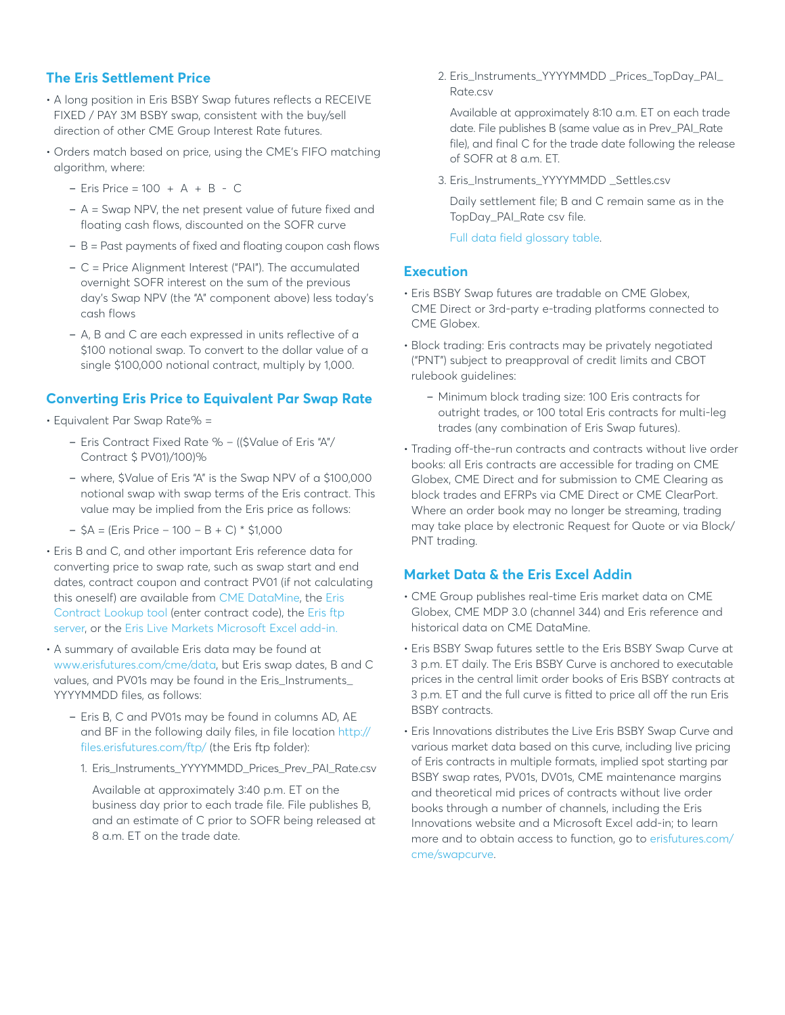## **The Eris Settlement Price**

- A long position in Eris BSBY Swap futures reflects a RECEIVE FIXED / PAY 3M BSBY swap, consistent with the buy/sell direction of other CME Group Interest Rate futures.
- Orders match based on price, using the CME's FIFO matching algorithm, where:
	- Eris Price = 100 + A + B C
	- A = Swap NPV, the net present value of future fixed and floating cash flows, discounted on the SOFR curve
	- B = Past payments of fixed and floating coupon cash flows
	- C = Price Alignment Interest ("PAI"). The accumulated overnight SOFR interest on the sum of the previous day's Swap NPV (the "A" component above) less today's cash flows
	- A, B and C are each expressed in units reflective of a \$100 notional swap. To convert to the dollar value of a single \$100,000 notional contract, multiply by 1,000.

#### **Converting Eris Price to Equivalent Par Swap Rate**

• Equivalent Par Swap Rate% =

- Eris Contract Fixed Rate % ((\$Value of Eris "A"/ Contract \$ PV01)/100)%
- where, \$Value of Eris "A" is the Swap NPV of a \$100,000 notional swap with swap terms of the Eris contract. This value may be implied from the Eris price as follows:
- $-$  \$A = (Eris Price 100 B + C)  $*$  \$1,000
- Eris B and C, and other important Eris reference data for converting price to swap rate, such as swap start and end dates, contract coupon and contract PV01 (if not calculating this oneself) are available from CME DataMine, the [Eris](http://www.erisfutures.com/cme/contractlookup)  [Contract Lookup tool](http://www.erisfutures.com/cme/contractlookup) (enter contract code), the [Eris ftp](http://files.erisfutures.com/ftp/)  [server](http://files.erisfutures.com/ftp/), or the [Eris Live Markets Microsoft Excel add-in.](http://www.erisfutures.com/cme/swapcurve)
- A summary of available Eris data may be found at [www.erisfutures.com/cme/data,](http://www.erisfutures.com/cme/data) but Eris swap dates, B and C values, and PV01s may be found in the Eris\_Instruments\_ YYYYMMDD files, as follows:
	- Eris B, C and PV01s may be found in columns AD, AE and BF in the following daily files, in file location [http://](http://files.erisfutures.com/ftp/) [files.erisfutures.com/ftp/](http://files.erisfutures.com/ftp/) (the Eris ftp folder):
		- 1. Eris\_Instruments\_YYYYMMDD\_Prices\_Prev\_PAI\_Rate.csv

 Available at approximately 3:40 p.m. ET on the business day prior to each trade file. File publishes B, and an estimate of C prior to SOFR being released at 8 a.m. ET on the trade date.

 2. Eris\_Instruments\_YYYYMMDD \_Prices\_TopDay\_PAI\_ Rate.csv

 Available at approximately 8:10 a.m. ET on each trade date. File publishes B (same value as in Prev\_PAI\_Rate file), and final C for the trade date following the release of SOFR at 8 a.m. ET.

3. Eris\_Instruments\_YYYYMMDD \_Settles.csv

 Daily settlement file; B and C remain same as in the TopDay\_PAI\_Rate csv file.

[Full data field glossary table.](http://files.erisfutures.com/ftp/Glossary/Eris_Instruments_YYYYMMDD_Settles_New_Format.pdf)

#### **Execution**

- Eris BSBY Swap futures are tradable on CME Globex, CME Direct or 3rd-party e-trading platforms connected to CME Globex.
- Block trading: Eris contracts may be privately negotiated ("PNT") subject to preapproval of credit limits and CBOT rulebook guidelines:
	- Minimum block trading size: 100 Eris contracts for outright trades, or 100 total Eris contracts for multi-leg trades (any combination of Eris Swap futures).
- Trading off-the-run contracts and contracts without live order books: all Eris contracts are accessible for trading on CME Globex, CME Direct and for submission to CME Clearing as block trades and EFRPs via CME Direct or CME ClearPort. Where an order book may no longer be streaming, trading may take place by electronic Request for Quote or via Block/ PNT trading.

#### **Market Data & the Eris Excel Addin**

- CME Group publishes real-time Eris market data on CME Globex, CME MDP 3.0 (channel 344) and Eris reference and historical data on CME DataMine.
- Eris BSBY Swap futures settle to the Eris BSBY Swap Curve at 3 p.m. ET daily. The Eris BSBY Curve is anchored to executable prices in the central limit order books of Eris BSBY contracts at 3 p.m. ET and the full curve is fitted to price all off the run Eris BSBY contracts.
- Eris Innovations distributes the Live Eris BSBY Swap Curve and various market data based on this curve, including live pricing of Eris contracts in multiple formats, implied spot starting par BSBY swap rates, PV01s, DV01s, CME maintenance margins and theoretical mid prices of contracts without live order books through a number of channels, including the Eris Innovations website and a Microsoft Excel add-in; to learn more and to obtain access to function, go to [erisfutures.com/](http://www.erisfutures.com/cme/swapcurve) [cme/swapcurve](http://www.erisfutures.com/cme/swapcurve).